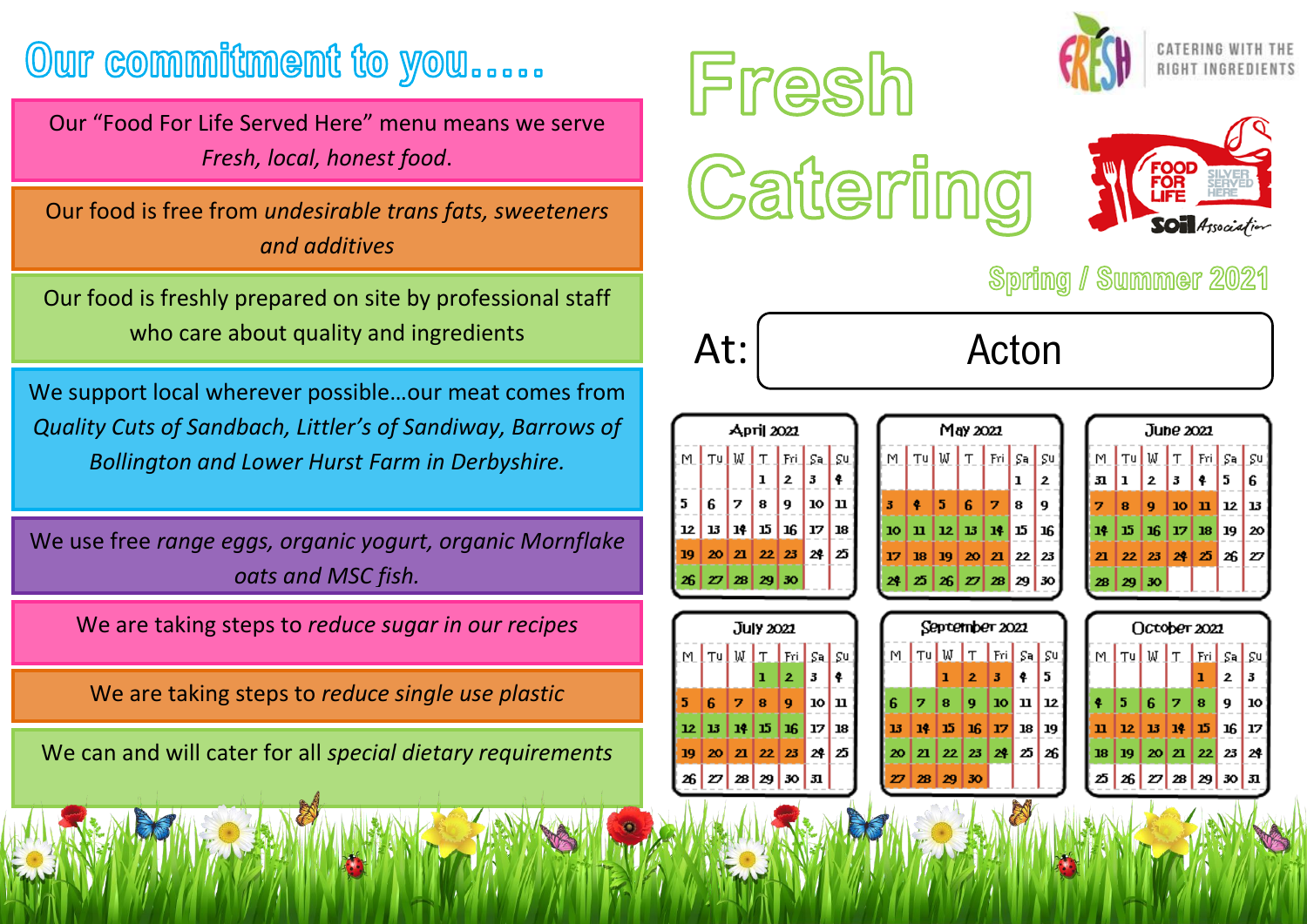## Our commitment to you.....

Our "Food For Life Served Here" menu means we serve *Fresh, local, honest food*.

Our food is free from *undesirable trans fats, sweeteners and additives*

Our food is freshly prepared on site by professional staff who care about quality and ingredients

We support local wherever possible…our meat comes from *Quality Cuts of Sandbach, Littler's of Sandiway, Barrows of Bollington and Lower Hurst Farm in Derbyshire.*

We use free *range eggs, organic yogurt, organic Mornflake oats and MSC fish.*

We are taking steps to *reduce sugar in our recipes*

We are taking steps to *reduce single use plastic*

We can and will cater for all *special dietary requirements*

Fresh Catering





## Spring / Summer 2021



## At: Acton



| M. | $\lceil$ Tu $\lfloor$ W $\rfloor$ T $\lfloor$ Fri $\rfloor$ |   |                   |                                                                        | Sa                                           | ςu       |  |
|----|-------------------------------------------------------------|---|-------------------|------------------------------------------------------------------------|----------------------------------------------|----------|--|
|    |                                                             |   |                   |                                                                        | ı                                            | 2        |  |
| 3  |                                                             | 5 | 6                 | 7                                                                      | 8                                            | 9        |  |
| 10 | п                                                           |   | $12 \mid 13 \mid$ | 14                                                                     | 15                                           | 16       |  |
| 17 | 18                                                          |   | 19   20           | 21                                                                     | 22 23                                        |          |  |
| 24 |                                                             |   |                   |                                                                        | $25 \mid 26 \mid 27 \mid 28 \mid 29 \mid 30$ |          |  |
|    |                                                             |   |                   |                                                                        |                                              |          |  |
|    |                                                             |   | September 2021    |                                                                        |                                              |          |  |
| M  |                                                             |   |                   | $\lceil \texttt{Tu} \rfloor$ W $\lceil \texttt{T} \rceil$ Fri $\lceil$ |                                              | $S = S0$ |  |
|    |                                                             |   |                   |                                                                        |                                              |          |  |
|    |                                                             | ı | $2 -$             | 3                                                                      | 4                                            | 5        |  |

 $May 2022$ 

| June 2021 |                                                                          |              |                                      |   |    |                |  |  |
|-----------|--------------------------------------------------------------------------|--------------|--------------------------------------|---|----|----------------|--|--|
| M         | $\lceil$ Tu $\lfloor$ W $\rfloor$ T $\lfloor$ Fri $\rfloor$ Sa $\lfloor$ |              |                                      |   |    | ςu             |  |  |
| 31        | $\mathbf{I}$                                                             | $\mathbf{z}$ | $\mathbf{5}$                         | 4 | 5  | 6              |  |  |
| 7         | 8                                                                        |              | 9  10  11                            |   | 12 | 13             |  |  |
|           | 14   15   16   17   18   19                                              |              |                                      |   |    | 20             |  |  |
| 21        |                                                                          |              | $22 \mid 23 \mid 24 \mid 25 \mid 26$ |   |    | $\overline{z}$ |  |  |
| 28        | 29                                                                       | 30           |                                      |   |    |                |  |  |

|   |                                                      |     | July 2021 |                |         |   |
|---|------------------------------------------------------|-----|-----------|----------------|---------|---|
|   | <u>MITUWIT FriSalsu</u>                              |     |           |                |         |   |
|   |                                                      |     | ı         | 2 <sup>2</sup> | 3       | ٠ |
| 5 | 6.                                                   | 17. | 8.        | 9              | 10   11 |   |
|   | $12   13   14   15   16   17   18$                   |     |           |                |         |   |
|   | $19 \mid 20 \mid 21 \mid 22 \mid 23 \mid 24 \mid 25$ |     |           |                |         |   |
|   | 26   27   28   29   30   31                          |     |           |                |         |   |

| LITU WIT Fri Sal Su<br> 2 3 4 |                                                                               |
|-------------------------------|-------------------------------------------------------------------------------|
|                               |                                                                               |
|                               | 5                                                                             |
|                               | 12                                                                            |
|                               | 19                                                                            |
|                               |                                                                               |
|                               |                                                                               |
|                               | $8 \mid 9 \mid 10 \mid 11$<br>1 14 15 16 17 18<br>0212223242526<br><b>ALC</b> |

| Осторет 2021 |                                                                                                       |            |  |    |   |    |  |  |
|--------------|-------------------------------------------------------------------------------------------------------|------------|--|----|---|----|--|--|
|              | M TU W T Fri Sa Su                                                                                    |            |  |    |   |    |  |  |
|              |                                                                                                       |            |  | E. | 2 | 13 |  |  |
|              | $4 \, 15$                                                                                             | 6  7  8  9 |  |    |   | 10 |  |  |
|              | 11 12 13 14 15 16 17                                                                                  |            |  |    |   |    |  |  |
|              | $18 \mid 19 \mid 20 \mid 21 \mid 22 \mid 23 \mid 24$                                                  |            |  |    |   |    |  |  |
|              | $\mathbb{E}\left[\left  z_6 \right  \mathbb{Z} \right]$ 28 $\left  z_9 \right $ 30 $\left  x \right $ |            |  |    |   |    |  |  |